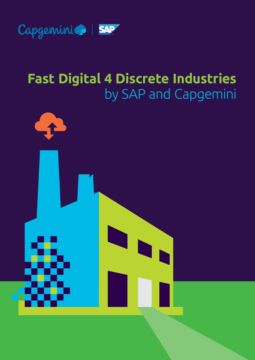

# **Fast Digital 4 Discrete Industries** by SAP and Capgemini

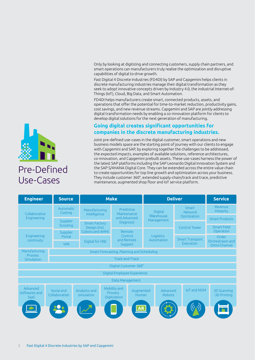Only by looking at digitizing and connecting customers, supply chain partners, and smart operations can manufacturers truly realize the optimization and disruptive capabilities of digital to drive growth.

Fast Digital 4 Discrete Industries (FD4DI) by SAP and Capgemini helps clients in discrete manufacturing industries manage their digital transformation as they seek to adopt innovative concepts driven by Industry 4.0, the industrial Internet-of-Things (IoT), Cloud, Big Data, and Smart Automation.

FD4DI helps manufacturers create smart, connected products, assets, and operations that offer the potential for time-to-market reduction, productivity gains, cost savings, and new revenue streams. Capgemini and SAP are jointly addressing digital transformation needs by enabling a co-innovation platform for clients to develop digital solutions for the next generation of manufacturing.

# **Going digital creates significant opportunities for companies in the discrete manufacturing industries.**

Joint pre-defined use-cases in the digital customer, smart operations and new business models space are the starting point of journey with our clients to engage with Capgemini and SAP, by exploring together the challenges to be addressed, the expected impacts, examples of available solutions, reference architectures, co-innovation, and Capgemini prebuilt assets. These use-cases harness the power of the latest SAP platforms including the SAP Leonardo Digital Innovation System and the SAP S/4HANA Digital Core. They can be extended across the entire value chain to create opportunities for top line growth and optimization across your business. They include customer 360°, extended supply-chain/track and trace, predictive maintenance, augmented shop floor and IoT service platform.





# Pre-Defined Use-Cases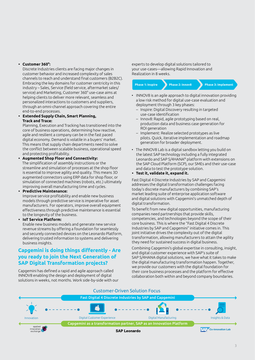#### **• Customer 360°:**

Discrete Industries clients are facing major changes in customer behavior and increased complexity of sales channels to reach and understand final customers (B2B2C). Embracing the key domains for customer centricity in this industry – Sales, Service (field service, aftermarket sales/ service) and Marketing, Customer 360° use-case aims at helping clients to deliver more relevant, seamless and personalized interactions to customers and suppliers, through an omni-channel approach covering the entire end-to-end processes.

### **• Extended Supply Chain, Smart Planning, Track and Trace:**

Planning, Execution and Tracking has transitioned into the core of business operations, determining how reactive, agile and resilient a company can be in the fast paced digital economy. Demand is volatile in a buyers' market. This means that supply chain departments need to solve the conflict between scalable business, operational speed and protecting profitability.

**• Augmented Shop Floor and Connectivity:** The simplification of assembly instructions or the streamline and simulation of processes at the shop floor is essential to improve agility and quality. This means 3D augmented connectors using ERP data for shop floor, or simulation of connected machines (robots, etc.) ultimately improving overall manufacturing time and cycles.

### **• Predictive Maintenance:**

Improve service profitability and enable new business models through predictive service is imperative for asset manufacturers. For operators, improve overall equipment effectiveness through predictive maintenance is essential to the longevity of the business.

#### **• IoT Service Platform:**

Enable new business models and generate new service revenue streams by offering a foundation for seamlessly and securely connected devices on the Leonardo Platform, delivering trusted information to systems and delivering business insights.

# **Capgemini is doing things differently - Are you ready to join the Next Generation of SAP Digital Transformation projects?**

Capgemini has defined a rapid and agile approach called INNOV8 enabling the design and deployment of digital solutions in weeks, not months. Work side-by-side with our experts to develop digital solutions tailored to your use-cases—allowing Rapid Innovation and Realization in 8 weeks.

| <b>Phase 1: Inspire</b> | <b>Phase 2: Innov8</b> | Phase 3: Implement |
|-------------------------|------------------------|--------------------|
|                         |                        |                    |

- INNOV8 is an agile approach to digital innovation providing a low risk method for digital use-case evaluation and deployment through 3 key phases:
	- Inspire: Digital Discovery resulting in targeted use-case identification
	- Innov8: Rapid, agile prototyping based on real, production data and business case generation for ROI generation
	- Implement: Realize selected prototypes as live pilots. Quick, iterative implementation and roadmap generation for broader deployment.
- The INNOV8 Lab is a digital sandbox letting you build on the latest SAP technology including a fully integrated Leonardo and SAP S/4HANA® platform with extensions on the SAP Cloud Platform (SCP), our SMEs and their use-case and data to test the prototype solution.
- **• Test it, validate it, expand it.**

Fast Digital 4 Discrete Industries by SAP and Capgemini addresses the digital transformation challenges facing today's discrete manufacturers by combining SAP's market leading suite of enterprise application software and digital solutions with Capgemini's unmatched depth of digital transformation.

To benefit from new digital opportunities, manufacturing companies need partnerships that provide skills, competencies, and technologies beyond the scope of their core business. This is where the "Fast Digital 4 Discrete Industries by SAP and Capgemini" initiative comes in. This joint initiative drives the complexity out of the digital transformation, allowing manufacturers to attain the agility they need for sustained success in digital business.

Combining Capgemini's global expertise in consulting, insight, and digital customer experience with SAP's suite of SAP S/4HANA digital solutions, we have what it takes to make the digital manufacturing transformation happen. Together, we provide our customers with the digital foundation for their core business processes and the platform for effective collaboration both within and beyond company boundaries.